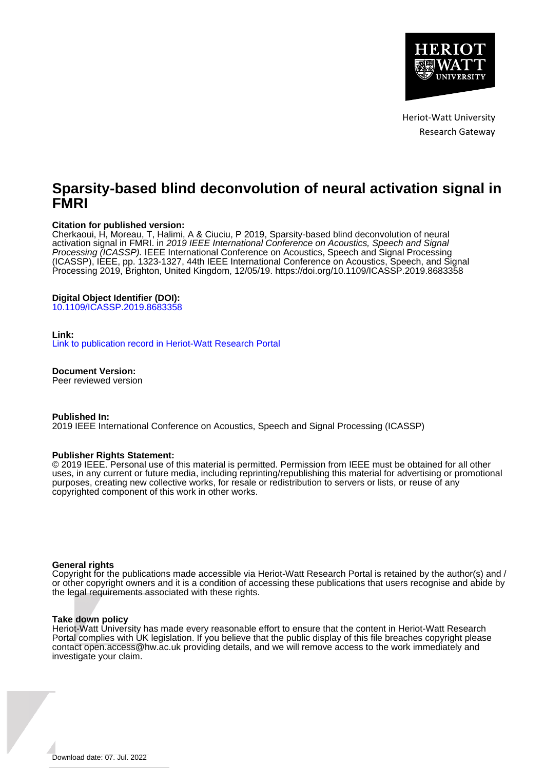

Heriot-Watt University Research Gateway

# **Sparsity-based blind deconvolution of neural activation signal in FMRI**

# **Citation for published version:**

Cherkaoui, H, Moreau, T, Halimi, A & Ciuciu, P 2019, Sparsity-based blind deconvolution of neural activation signal in FMRI. in 2019 IEEE International Conference on Acoustics, Speech and Signal Processing (ICASSP). IEEE International Conference on Acoustics, Speech and Signal Processing (ICASSP), IEEE, pp. 1323-1327, 44th IEEE International Conference on Acoustics, Speech, and Signal Processing 2019, Brighton, United Kingdom, 12/05/19.<https://doi.org/10.1109/ICASSP.2019.8683358>

# **Digital Object Identifier (DOI):**

[10.1109/ICASSP.2019.8683358](https://doi.org/10.1109/ICASSP.2019.8683358)

## **Link:**

[Link to publication record in Heriot-Watt Research Portal](https://researchportal.hw.ac.uk/en/publications/86fcf5e0-1a42-43c4-8ff6-44c05d4bd47c)

**Document Version:**

Peer reviewed version

**Published In:**

2019 IEEE International Conference on Acoustics, Speech and Signal Processing (ICASSP)

## **Publisher Rights Statement:**

© 2019 IEEE. Personal use of this material is permitted. Permission from IEEE must be obtained for all other uses, in any current or future media, including reprinting/republishing this material for advertising or promotional purposes, creating new collective works, for resale or redistribution to servers or lists, or reuse of any copyrighted component of this work in other works.

## **General rights**

Copyright for the publications made accessible via Heriot-Watt Research Portal is retained by the author(s) and / or other copyright owners and it is a condition of accessing these publications that users recognise and abide by the legal requirements associated with these rights.

## **Take down policy**

Heriot-Watt University has made every reasonable effort to ensure that the content in Heriot-Watt Research Portal complies with UK legislation. If you believe that the public display of this file breaches copyright please contact open.access@hw.ac.uk providing details, and we will remove access to the work immediately and investigate your claim.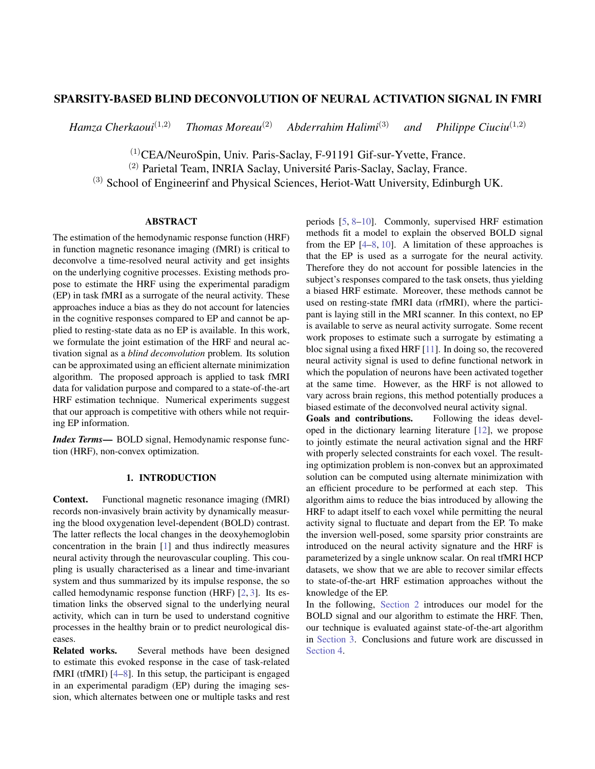# SPARSITY-BASED BLIND DECONVOLUTION OF NEURAL ACTIVATION SIGNAL IN FMRI

*Hamza Cherkaoui*<sup>(1,2)</sup> *Thomas Moreau*<sup>(2)</sup> *Abderrahim Halimi*<sup>(3)</sup> *and Philippe Ciuciu*<sup>(1,2)</sup>

(1)CEA/NeuroSpin, Univ. Paris-Saclay, F-91191 Gif-sur-Yvette, France.

 $(2)$  Parietal Team, INRIA Saclay, Université Paris-Saclay, Saclay, France.

(3) School of Engineerinf and Physical Sciences, Heriot-Watt University, Edinburgh UK.

# ABSTRACT

The estimation of the hemodynamic response function (HRF) in function magnetic resonance imaging (fMRI) is critical to deconvolve a time-resolved neural activity and get insights on the underlying cognitive processes. Existing methods propose to estimate the HRF using the experimental paradigm (EP) in task fMRI as a surrogate of the neural activity. These approaches induce a bias as they do not account for latencies in the cognitive responses compared to EP and cannot be applied to resting-state data as no EP is available. In this work, we formulate the joint estimation of the HRF and neural activation signal as a *blind deconvolution* problem. Its solution can be approximated using an efficient alternate minimization algorithm. The proposed approach is applied to task fMRI data for validation purpose and compared to a state-of-the-art HRF estimation technique. Numerical experiments suggest that our approach is competitive with others while not requiring EP information.

*Index Terms*— BOLD signal, Hemodynamic response function (HRF), non-convex optimization.

# 1. INTRODUCTION

Context. Functional magnetic resonance imaging (fMRI) records non-invasively brain activity by dynamically measuring the blood oxygenation level-dependent (BOLD) contrast. The latter reflects the local changes in the deoxyhemoglobin concentration in the brain [\[1\]](#page-5-0) and thus indirectly measures neural activity through the neurovascular coupling. This coupling is usually characterised as a linear and time-invariant system and thus summarized by its impulse response, the so called hemodynamic response function (HRF) [\[2,](#page-5-1) [3\]](#page-5-2). Its estimation links the observed signal to the underlying neural activity, which can in turn be used to understand cognitive processes in the healthy brain or to predict neurological diseases.

Related works. Several methods have been designed to estimate this evoked response in the case of task-related fMRI (tfMRI) [\[4–](#page-5-3)[8\]](#page-5-4). In this setup, the participant is engaged in an experimental paradigm (EP) during the imaging session, which alternates between one or multiple tasks and rest periods [\[5,](#page-5-5) [8–](#page-5-4)[10\]](#page-5-6). Commonly, supervised HRF estimation methods fit a model to explain the observed BOLD signal from the EP  $[4-8, 10]$  $[4-8, 10]$  $[4-8, 10]$  $[4-8, 10]$ . A limitation of these approaches is that the EP is used as a surrogate for the neural activity. Therefore they do not account for possible latencies in the subject's responses compared to the task onsets, thus yielding a biased HRF estimate. Moreover, these methods cannot be used on resting-state fMRI data (rfMRI), where the participant is laying still in the MRI scanner. In this context, no EP is available to serve as neural activity surrogate. Some recent work proposes to estimate such a surrogate by estimating a bloc signal using a fixed HRF [\[11\]](#page-5-7). In doing so, the recovered neural activity signal is used to define functional network in which the population of neurons have been activated together at the same time. However, as the HRF is not allowed to vary across brain regions, this method potentially produces a biased estimate of the deconvolved neural activity signal.

Goals and contributions. Following the ideas developed in the dictionary learning literature [\[12\]](#page-5-8), we propose to jointly estimate the neural activation signal and the HRF with properly selected constraints for each voxel. The resulting optimization problem is non-convex but an approximated solution can be computed using alternate minimization with an efficient procedure to be performed at each step. This algorithm aims to reduce the bias introduced by allowing the HRF to adapt itself to each voxel while permitting the neural activity signal to fluctuate and depart from the EP. To make the inversion well-posed, some sparsity prior constraints are introduced on the neural activity signature and the HRF is parameterized by a single unknow scalar. On real tfMRI HCP datasets, we show that we are able to recover similar effects to state-of-the-art HRF estimation approaches without the knowledge of the EP.

In the following, [Section 2](#page-2-0) introduces our model for the BOLD signal and our algorithm to estimate the HRF. Then, our technique is evaluated against state-of-the-art algorithm in [Section 3.](#page-3-0) Conclusions and future work are discussed in [Section 4.](#page-4-0)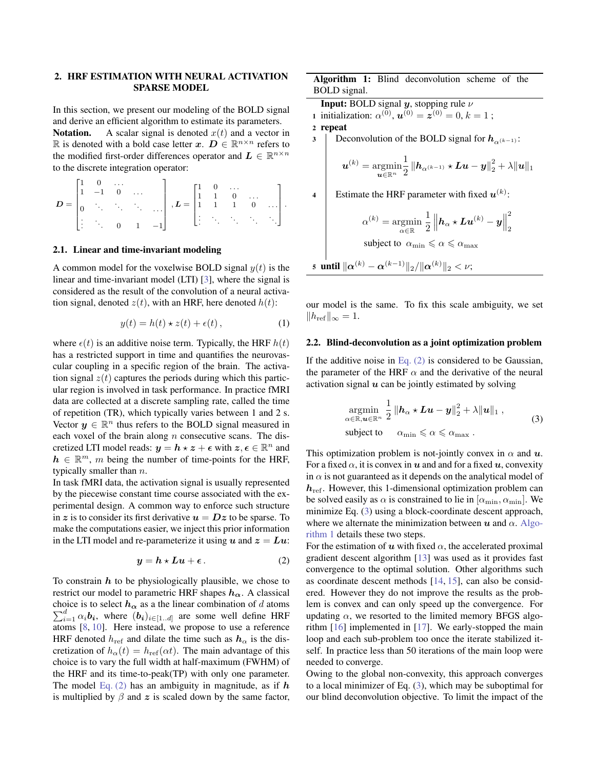# <span id="page-2-0"></span>2. HRF ESTIMATION WITH NEURAL ACTIVATION SPARSE MODEL

In this section, we present our modeling of the BOLD signal and derive an efficient algorithm to estimate its parameters.

**Notation.** A scalar signal is denoted  $x(t)$  and a vector in R is denoted with a bold case letter  $x$ .  $D \in \mathbb{R}^{n \times n}$  refers to the modified first-order differences operator and  $L \in \mathbb{R}^{n \times n}$ to the discrete integration operator:

|  | $\begin{matrix} 0 & \dots \\ -1 & 0 & \dots \end{matrix}$          |  | $\mathbf{D} = \begin{bmatrix} \cdot & \cdot & \cdot & \cdot \\ \cdot & \cdot & \cdot & \cdot \\ \cdot & \cdot & \cdot & \cdot \\ \cdot & \cdot & \cdot & \cdot \\ \cdot & \cdot & \cdot & \cdot \\ \cdot & \cdot & \cdot & \cdot \end{bmatrix} \text{ , } \mathbf{L} = \begin{bmatrix} 1 & 0 & \cdot & \cdot & \cdot \\ 1 & 1 & 0 & \cdot & \cdot \\ \cdot & 1 & 1 & 0 & \cdot & \cdot \\ \cdot & \cdot & \cdot & \cdot & \cdot \end{bmatrix} \text{ .}$ |  |  |  |
|--|--------------------------------------------------------------------|--|----------------------------------------------------------------------------------------------------------------------------------------------------------------------------------------------------------------------------------------------------------------------------------------------------------------------------------------------------------------------------------------------------------------------------------------------------------|--|--|--|
|  | $\begin{vmatrix} \cdot & \cdot & \cdot & 0 & 1 & -1 \end{vmatrix}$ |  |                                                                                                                                                                                                                                                                                                                                                                                                                                                          |  |  |  |

### 2.1. Linear and time-invariant modeling

A common model for the voxelwise BOLD signal  $y(t)$  is the linear and time-invariant model (LTI) [\[3\]](#page-5-2), where the signal is considered as the result of the convolution of a neural activation signal, denoted  $z(t)$ , with an HRF, here denoted  $h(t)$ :

$$
y(t) = h(t) \star z(t) + \epsilon(t), \qquad (1)
$$

where  $\epsilon(t)$  is an additive noise term. Typically, the HRF  $h(t)$ has a restricted support in time and quantifies the neurovascular coupling in a specific region of the brain. The activation signal  $z(t)$  captures the periods during which this particular region is involved in task performance. In practice fMRI data are collected at a discrete sampling rate, called the time of repetition (TR), which typically varies between 1 and 2 s. Vector  $y \in \mathbb{R}^n$  thus refers to the BOLD signal measured in each voxel of the brain along  $n$  consecutive scans. The discretized LTI model reads:  $y = h \star z + \epsilon$  with  $z, \epsilon \in \mathbb{R}^n$  and  $h \in \mathbb{R}^m$ , m being the number of time-points for the HRF, typically smaller than  $n$ .

In task fMRI data, the activation signal is usually represented by the piecewise constant time course associated with the experimental design. A common way to enforce such structure in z is to consider its first derivative  $u = Dz$  to be sparse. To make the computations easier, we inject this prior information in the LTI model and re-parameterize it using u and  $z = Lu$ .

$$
y = h \star Lu + \epsilon. \tag{2}
$$

To constrain  $h$  to be physiologically plausible, we chose to restrict our model to parametric HRF shapes  $h_{\alpha}$ . A classical  $\sum_{i=1}^{d} \alpha_i \mathbf{b_i}$ , where  $(\mathbf{b_i})_{i \in [1..d]}$  are some well define HRF choice is to select  $h_{\alpha}$  as a the linear combination of d atoms atoms [\[8,](#page-5-4) [10\]](#page-5-6). Here instead, we propose to use a reference HRF denoted  $h_{ref}$  and dilate the time such as  $h_{\alpha}$  is the discretization of  $h_{\alpha}(t) = h_{\text{ref}}(\alpha t)$ . The main advantage of this choice is to vary the full width at half-maximum (FWHM) of the HRF and its time-to-peak(TP) with only one parameter. The model Eq.  $(2)$  has an ambiguity in magnitude, as if h is multiplied by  $\beta$  and z is scaled down by the same factor,

Algorithm 1: Blind deconvolution scheme of the BOLD signal.

<span id="page-2-3"></span>**Input:** BOLD signal  $y$ , stopping rule  $\nu$ 1 initialization:  $\alpha^{(0)}$ ,  $\boldsymbol{u}^{(0)} = \boldsymbol{z}^{(0)} = 0$ ,  $k = 1$ ; 2 repeat 3 Deconvolution of the BOLD signal for  $h_{\alpha^{(k-1)}}$ :  $\boldsymbol{u}^{(k)} = \operatornamewithlimits{argmin}_{\boldsymbol{u} \in \mathbb{R}^n}$ 1  $\frac{1}{2} \left\| \bm{h}_{\alpha^{(k-1)}} \star \bm{L} \bm{u} - \bm{y} \right\|_2^2 + \lambda \| \bm{u} \|_1$ 4 | Estimate the HRF parameter with fixed  $u^{(k)}$ :  $\alpha^{(k)} = \operatornamewithlimits{argmin}_{\alpha \in \mathbb{R}}$ 1 2  $\left\| \bm{h}_{\alpha}\star\bm{L}\bm{u}^{(k)}-\bm{y}\right\|$ 2 2 subject to  $\alpha_{\min} \le \alpha \le \alpha_{\max}$ 5 until  $\|\alpha^{(k)} - \alpha^{(k-1)}\|_2 / \|\alpha^{(k)}\|_2 < \nu;$ 

our model is the same. To fix this scale ambiguity, we set  $||h_{\text{ref}}||_{\infty} = 1.$ 

#### 2.2. Blind-deconvolution as a joint optimization problem

If the additive noise in Eq.  $(2)$  is considered to be Gaussian, the parameter of the HRF  $\alpha$  and the derivative of the neural activation signal  $u$  can be jointly estimated by solving

$$
\underset{\alpha \in \mathbb{R}, u \in \mathbb{R}^n}{\text{argmin}} \frac{1}{2} \|h_{\alpha} \star \mathbf{L}u - y\|_2^2 + \lambda \|u\|_1 ,
$$
\n
$$
\text{subject to} \quad \alpha_{\min} \leq \alpha \leq \alpha_{\max} .
$$
\n
$$
(3)
$$

<span id="page-2-2"></span>This optimization problem is not-jointly convex in  $\alpha$  and  $u$ . For a fixed  $\alpha$ , it is convex in **u** and and for a fixed **u**, convexity in  $\alpha$  is not guaranteed as it depends on the analytical model of  $h_{ref}$ . However, this 1-dimensional optimization problem can be solved easily as  $\alpha$  is constrained to lie in  $[\alpha_{\min}, \alpha_{\min}]$ . We minimize Eq. [\(3\)](#page-2-2) using a block-coordinate descent approach, where we alternate the minimization between  $u$  and  $\alpha$ . [Algo](#page-2-3)[rithm 1](#page-2-3) details these two steps.

<span id="page-2-1"></span>For the estimation of u with fixed  $\alpha$ , the accelerated proximal gradient descent algorithm [\[13\]](#page-5-9) was used as it provides fast convergence to the optimal solution. Other algorithms such as coordinate descent methods [\[14,](#page-5-10) [15\]](#page-5-11), can also be considered. However they do not improve the results as the problem is convex and can only speed up the convergence. For updating  $\alpha$ , we resorted to the limited memory BFGS algorithm [\[16\]](#page-5-12) implemented in [\[17\]](#page-5-13). We early-stopped the main loop and each sub-problem too once the iterate stabilized itself. In practice less than 50 iterations of the main loop were needed to converge.

Owing to the global non-convexity, this approach converges to a local minimizer of Eq. [\(3\)](#page-2-2), which may be suboptimal for our blind deconvolution objective. To limit the impact of the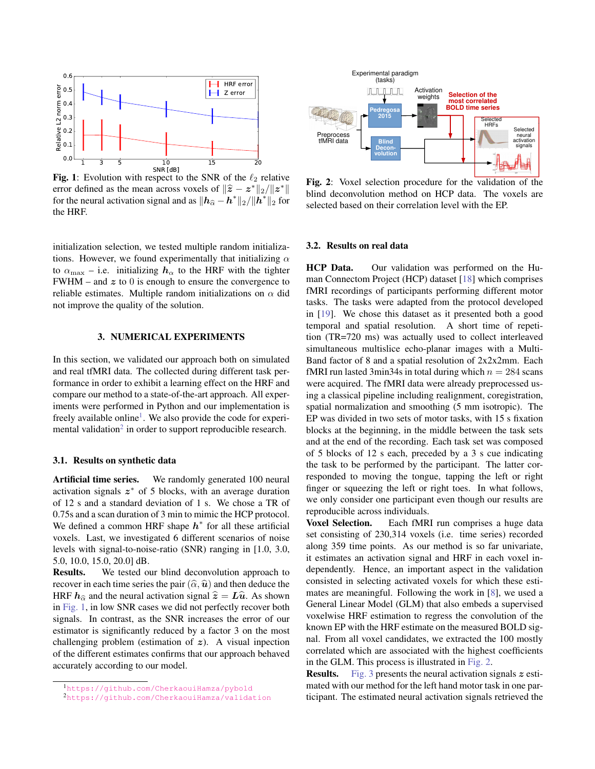<span id="page-3-3"></span>

Fig. 1: Evolution with respect to the SNR of the  $\ell_2$  relative error defined as the mean across voxels of  $\|\hat{z} - z^*\|_2 / \|z^*\|$ <br>for the neural activation signal and as  $\|b_{\lambda} - b^*\|_2 / \|b^*\|$ , for for the neural activation signal and as  $||\boldsymbol{h}_{\widehat{\alpha}} - \boldsymbol{h}^*||_2 / ||\boldsymbol{h}^*||_2$  for the HRF.

initialization selection, we tested multiple random initializations. However, we found experimentally that initializing  $\alpha$ to  $\alpha_{\text{max}}$  – i.e. initializing  $h_{\alpha}$  to the HRF with the tighter FWHM – and  $z$  to 0 is enough to ensure the convergence to reliable estimates. Multiple random initializations on  $\alpha$  did not improve the quality of the solution.

### 3. NUMERICAL EXPERIMENTS

<span id="page-3-0"></span>In this section, we validated our approach both on simulated and real tfMRI data. The collected during different task performance in order to exhibit a learning effect on the HRF and compare our method to a state-of-the-art approach. All experiments were performed in Python and our implementation is freely available online<sup>[1](#page-3-1)</sup>. We also provide the code for experi-mental validation<sup>[2](#page-3-2)</sup> in order to support reproducible research.

#### 3.1. Results on synthetic data

Artificial time series. We randomly generated 100 neural activation signals  $z^*$  of 5 blocks, with an average duration of 12 s and a standard deviation of 1 s. We chose a TR of 0.75s and a scan duration of 3 min to mimic the HCP protocol. We defined a common HRF shape  $h^*$  for all these artificial voxels. Last, we investigated 6 different scenarios of noise levels with signal-to-noise-ratio (SNR) ranging in [1.0, 3.0, 5.0, 10.0, 15.0, 20.0] dB.

Results. We tested our blind deconvolution approach to recover in each time series the pair  $(\hat{\alpha}, \hat{\mathbf{u}})$  and then deduce the HRF  $h_{\hat{\alpha}}$  and the neural activation signal  $\hat{z} = L\hat{u}$ . As shown in [Fig. 1,](#page-3-3) in low SNR cases we did not perfectly recover both signals. In contrast, as the SNR increases the error of our estimator is significantly reduced by a factor 3 on the most challenging problem (estimation of  $z$ ). A visual inpection of the different estimates confirms that our approach behaved accurately according to our model.

<span id="page-3-4"></span>

Fig. 2: Voxel selection procedure for the validation of the blind deconvolution method on HCP data. The voxels are selected based on their correlation level with the EP.

#### 3.2. Results on real data

HCP Data. Our validation was performed on the Human Connectom Project (HCP) dataset [\[18\]](#page-5-14) which comprises fMRI recordings of participants performing different motor tasks. The tasks were adapted from the protocol developed in [\[19\]](#page-5-15). We chose this dataset as it presented both a good temporal and spatial resolution. A short time of repetition (TR=720 ms) was actually used to collect interleaved simultaneous multislice echo-planar images with a Multi-Band factor of 8 and a spatial resolution of 2x2x2mm. Each fMRI run lasted 3min34s in total during which  $n = 284$  scans were acquired. The fMRI data were already preprocessed using a classical pipeline including realignment, coregistration, spatial normalization and smoothing (5 mm isotropic). The EP was divided in two sets of motor tasks, with 15 s fixation blocks at the beginning, in the middle between the task sets and at the end of the recording. Each task set was composed of 5 blocks of 12 s each, preceded by a 3 s cue indicating the task to be performed by the participant. The latter corresponded to moving the tongue, tapping the left or right finger or squeezing the left or right toes. In what follows, we only consider one participant even though our results are reproducible across individuals.

Voxel Selection. Each fMRI run comprises a huge data set consisting of 230,314 voxels (i.e. time series) recorded along 359 time points. As our method is so far univariate, it estimates an activation signal and HRF in each voxel independently. Hence, an important aspect in the validation consisted in selecting activated voxels for which these estimates are meaningful. Following the work in [\[8\]](#page-5-4), we used a General Linear Model (GLM) that also embeds a supervised voxelwise HRF estimation to regress the convolution of the known EP with the HRF estimate on the measured BOLD signal. From all voxel candidates, we extracted the 100 mostly correlated which are associated with the highest coefficients in the GLM. This process is illustrated in [Fig. 2.](#page-3-4)

**Results.** [Fig. 3](#page-4-1) presents the neural activation signals  $z$  estimated with our method for the left hand motor task in one participant. The estimated neural activation signals retrieved the

<span id="page-3-1"></span><sup>1</sup><https://github.com/CherkaouiHamza/pybold>

<span id="page-3-2"></span><sup>2</sup><https://github.com/CherkaouiHamza/validation>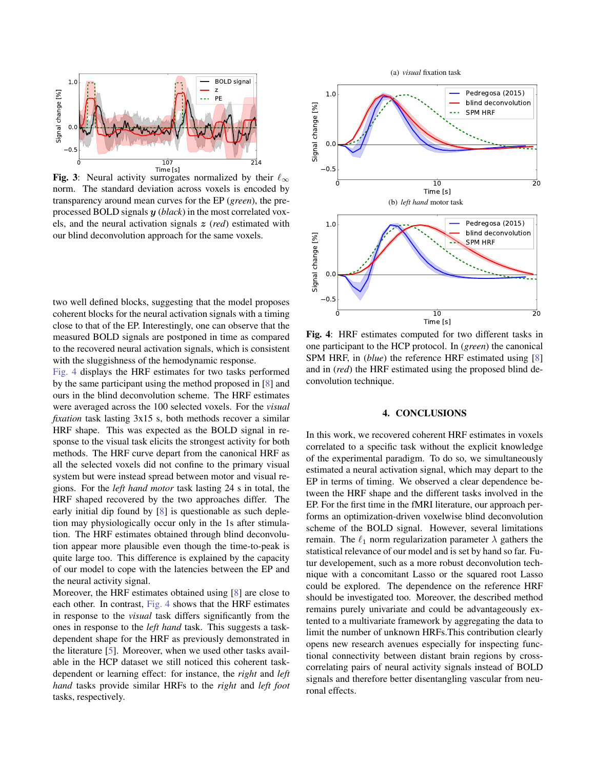<span id="page-4-1"></span>

Fig. 3: Neural activity surrogates normalized by their  $\ell_{\infty}$ norm. The standard deviation across voxels is encoded by transparency around mean curves for the EP (*green*), the preprocessed BOLD signals y (*black*) in the most correlated voxels, and the neural activation signals z (*red*) estimated with our blind deconvolution approach for the same voxels.

two well defined blocks, suggesting that the model proposes coherent blocks for the neural activation signals with a timing close to that of the EP. Interestingly, one can observe that the measured BOLD signals are postponed in time as compared to the recovered neural activation signals, which is consistent with the sluggishness of the hemodynamic response.

[Fig. 4](#page-4-2) displays the HRF estimates for two tasks performed by the same participant using the method proposed in [\[8\]](#page-5-4) and ours in the blind deconvolution scheme. The HRF estimates were averaged across the 100 selected voxels. For the *visual fixation* task lasting  $3x15$  s, both methods recover a similar HRF shape. This was expected as the BOLD signal in response to the visual task elicits the strongest activity for both methods. The HRF curve depart from the canonical HRF as all the selected voxels did not confine to the primary visual system but were instead spread between motor and visual regions. For the *left hand motor* task lasting 24 s in total, the HRF shaped recovered by the two approaches differ. The early initial dip found by [\[8\]](#page-5-4) is questionable as such depletion may physiologically occur only in the 1s after stimulation. The HRF estimates obtained through blind deconvolution appear more plausible even though the time-to-peak is quite large too. This difference is explained by the capacity of our model to cope with the latencies between the EP and the neural activity signal.

Moreover, the HRF estimates obtained using [\[8\]](#page-5-4) are close to each other. In contrast, [Fig. 4](#page-4-2) shows that the HRF estimates in response to the *visual* task differs significantly from the ones in response to the *left hand* task. This suggests a taskdependent shape for the HRF as previously demonstrated in the literature [\[5\]](#page-5-5). Moreover, when we used other tasks available in the HCP dataset we still noticed this coherent taskdependent or learning effect: for instance, the *right* and *left hand* tasks provide similar HRFs to the *right* and *left foot* tasks, respectively.

<span id="page-4-2"></span>

Fig. 4: HRF estimates computed for two different tasks in one participant to the HCP protocol. In (*green*) the canonical SPM HRF, in (*blue*) the reference HRF estimated using [\[8\]](#page-5-4) and in (*red*) the HRF estimated using the proposed blind deconvolution technique.

#### 4. CONCLUSIONS

<span id="page-4-0"></span>In this work, we recovered coherent HRF estimates in voxels correlated to a specific task without the explicit knowledge of the experimental paradigm. To do so, we simultaneously estimated a neural activation signal, which may depart to the EP in terms of timing. We observed a clear dependence between the HRF shape and the different tasks involved in the EP. For the first time in the fMRI literature, our approach performs an optimization-driven voxelwise blind deconvolution scheme of the BOLD signal. However, several limitations remain. The  $\ell_1$  norm regularization parameter  $\lambda$  gathers the statistical relevance of our model and is set by hand so far. Futur developement, such as a more robust deconvolution technique with a concomitant Lasso or the squared root Lasso could be explored. The dependence on the reference HRF should be investigated too. Moreover, the described method remains purely univariate and could be advantageously extented to a multivariate framework by aggregating the data to limit the number of unknown HRFs.This contribution clearly opens new research avenues especially for inspecting functional connectivity between distant brain regions by crosscorrelating pairs of neural activity signals instead of BOLD signals and therefore better disentangling vascular from neuronal effects.